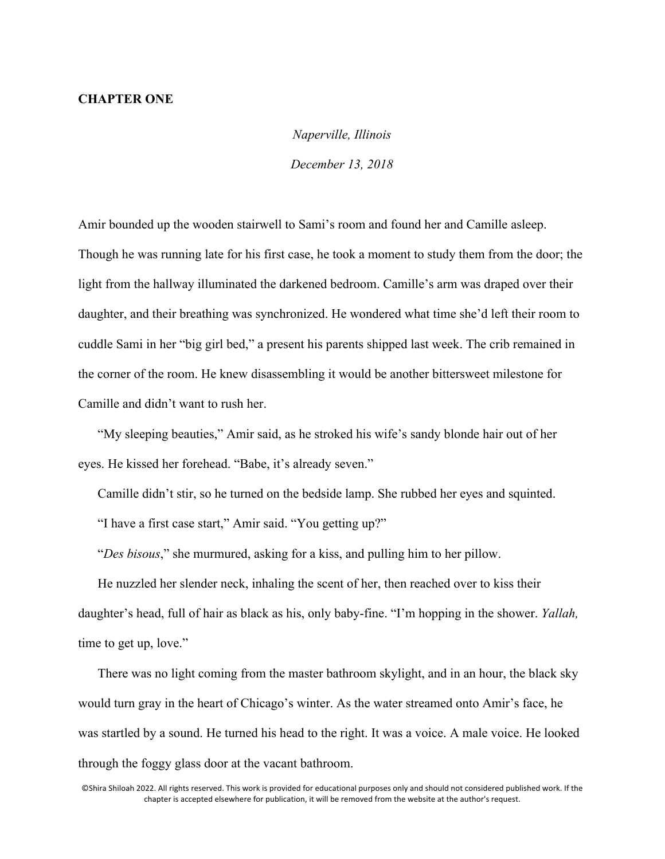## **CHAPTER ONE**

## *Naperville, Illinois December 13, 2018*

Amir bounded up the wooden stairwell to Sami's room and found her and Camille asleep. Though he was running late for his first case, he took a moment to study them from the door; the light from the hallway illuminated the darkened bedroom. Camille's arm was draped over their daughter, and their breathing was synchronized. He wondered what time she'd left their room to cuddle Sami in her "big girl bed," a present his parents shipped last week. The crib remained in the corner of the room. He knew disassembling it would be another bittersweet milestone for Camille and didn't want to rush her.

"My sleeping beauties," Amir said, as he stroked his wife's sandy blonde hair out of her eyes. He kissed her forehead. "Babe, it's already seven."

Camille didn't stir, so he turned on the bedside lamp. She rubbed her eyes and squinted.

"I have a first case start," Amir said. "You getting up?"

"*Des bisous*," she murmured, asking for a kiss, and pulling him to her pillow.

He nuzzled her slender neck, inhaling the scent of her, then reached over to kiss their daughter's head, full of hair as black as his, only baby-fine. "I'm hopping in the shower. *Yallah,* time to get up, love."

There was no light coming from the master bathroom skylight, and in an hour, the black sky would turn gray in the heart of Chicago's winter. As the water streamed onto Amir's face, he was startled by a sound. He turned his head to the right. It was a voice. A male voice. He looked through the foggy glass door at the vacant bathroom.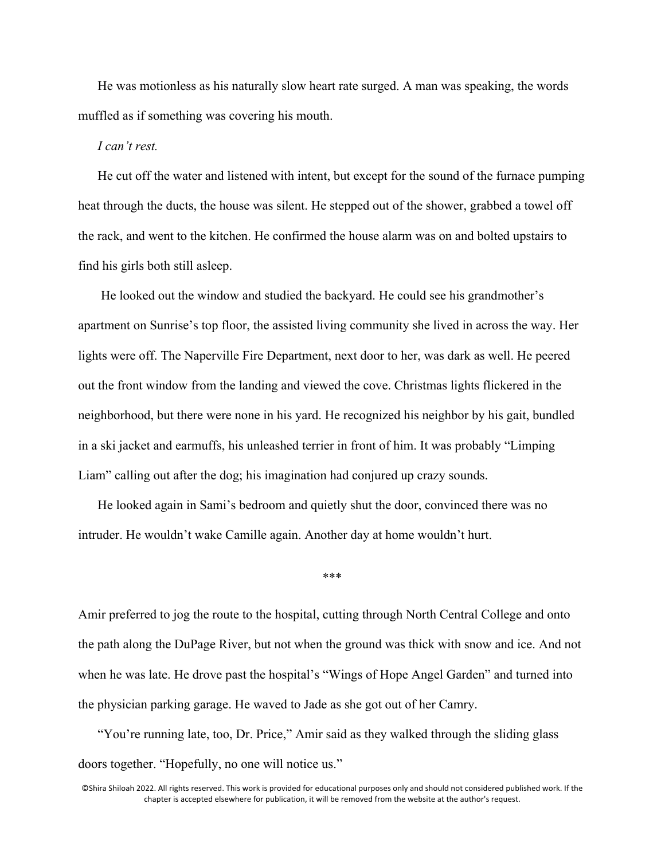He was motionless as his naturally slow heart rate surged. A man was speaking, the words muffled as if something was covering his mouth.

## *I can't rest.*

He cut off the water and listened with intent, but except for the sound of the furnace pumping heat through the ducts, the house was silent. He stepped out of the shower, grabbed a towel off the rack, and went to the kitchen. He confirmed the house alarm was on and bolted upstairs to find his girls both still asleep.

He looked out the window and studied the backyard. He could see his grandmother's apartment on Sunrise's top floor, the assisted living community she lived in across the way. Her lights were off. The Naperville Fire Department, next door to her, was dark as well. He peered out the front window from the landing and viewed the cove. Christmas lights flickered in the neighborhood, but there were none in his yard. He recognized his neighbor by his gait, bundled in a ski jacket and earmuffs, his unleashed terrier in front of him. It was probably "Limping Liam" calling out after the dog; his imagination had conjured up crazy sounds.

He looked again in Sami's bedroom and quietly shut the door, convinced there was no intruder. He wouldn't wake Camille again. Another day at home wouldn't hurt.

Amir preferred to jog the route to the hospital, cutting through North Central College and onto the path along the DuPage River, but not when the ground was thick with snow and ice. And not when he was late. He drove past the hospital's "Wings of Hope Angel Garden" and turned into the physician parking garage. He waved to Jade as she got out of her Camry.

\*\*\*

"You're running late, too, Dr. Price," Amir said as they walked through the sliding glass doors together. "Hopefully, no one will notice us."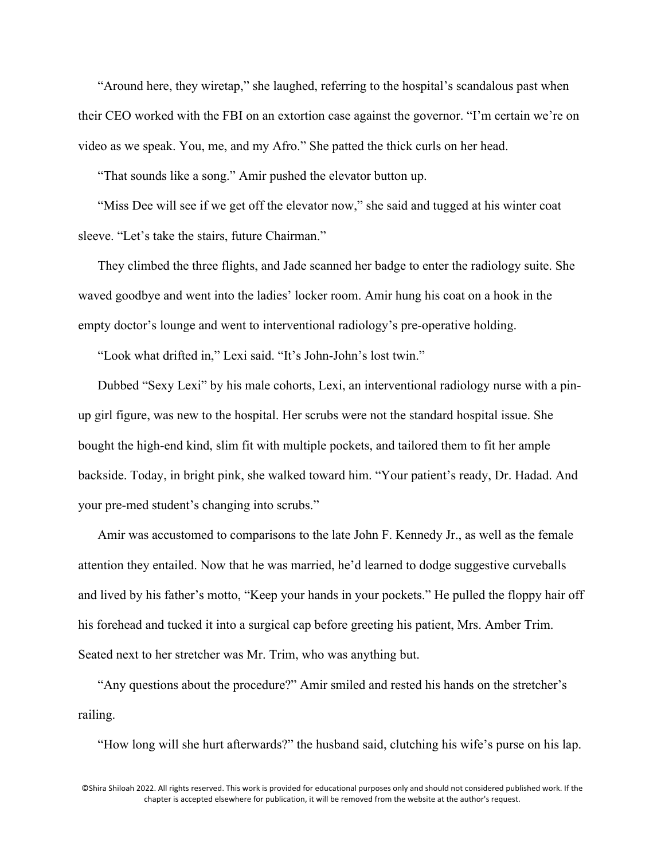"Around here, they wiretap," she laughed, referring to the hospital's scandalous past when their CEO worked with the FBI on an extortion case against the governor. "I'm certain we're on video as we speak. You, me, and my Afro." She patted the thick curls on her head.

"That sounds like a song." Amir pushed the elevator button up.

"Miss Dee will see if we get off the elevator now," she said and tugged at his winter coat sleeve. "Let's take the stairs, future Chairman."

They climbed the three flights, and Jade scanned her badge to enter the radiology suite. She waved goodbye and went into the ladies' locker room. Amir hung his coat on a hook in the empty doctor's lounge and went to interventional radiology's pre-operative holding.

"Look what drifted in," Lexi said. "It's John-John's lost twin."

Dubbed "Sexy Lexi" by his male cohorts, Lexi, an interventional radiology nurse with a pinup girl figure, was new to the hospital. Her scrubs were not the standard hospital issue. She bought the high-end kind, slim fit with multiple pockets, and tailored them to fit her ample backside. Today, in bright pink, she walked toward him. "Your patient's ready, Dr. Hadad. And your pre-med student's changing into scrubs."

Amir was accustomed to comparisons to the late John F. Kennedy Jr., as well as the female attention they entailed. Now that he was married, he'd learned to dodge suggestive curveballs and lived by his father's motto, "Keep your hands in your pockets." He pulled the floppy hair off his forehead and tucked it into a surgical cap before greeting his patient, Mrs. Amber Trim. Seated next to her stretcher was Mr. Trim, who was anything but.

"Any questions about the procedure?" Amir smiled and rested his hands on the stretcher's railing.

"How long will she hurt afterwards?" the husband said, clutching his wife's purse on his lap.

<sup>©</sup>Shira Shiloah 2022. All rights reserved. This work is provided for educational purposes only and should not considered published work. If the chapter is accepted elsewhere for publication, it will be removed from the website at the author's request.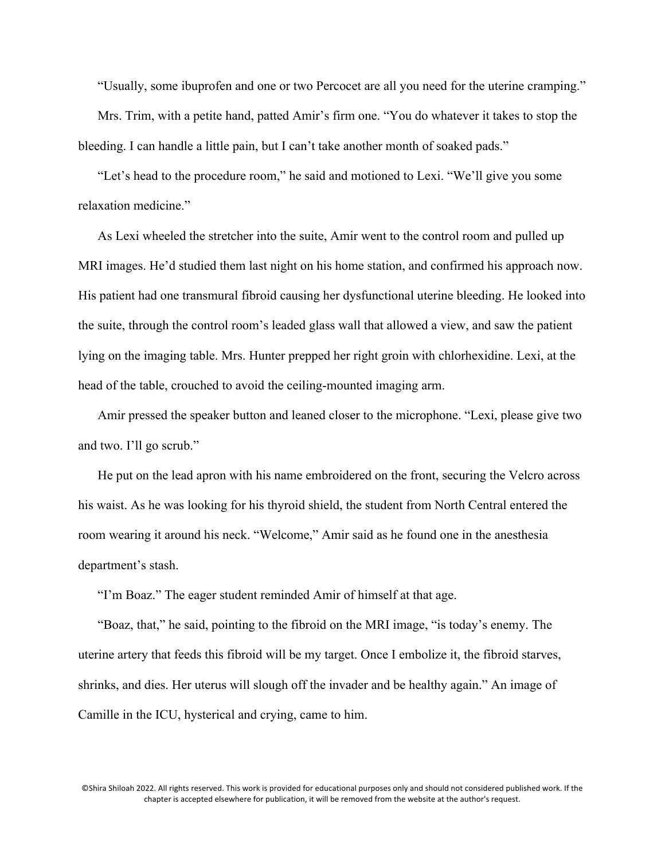"Usually, some ibuprofen and one or two Percocet are all you need for the uterine cramping."

Mrs. Trim, with a petite hand, patted Amir's firm one. "You do whatever it takes to stop the bleeding. I can handle a little pain, but I can't take another month of soaked pads."

"Let's head to the procedure room," he said and motioned to Lexi. "We'll give you some relaxation medicine."

As Lexi wheeled the stretcher into the suite, Amir went to the control room and pulled up MRI images. He'd studied them last night on his home station, and confirmed his approach now. His patient had one transmural fibroid causing her dysfunctional uterine bleeding. He looked into the suite, through the control room's leaded glass wall that allowed a view, and saw the patient lying on the imaging table. Mrs. Hunter prepped her right groin with chlorhexidine. Lexi, at the head of the table, crouched to avoid the ceiling-mounted imaging arm.

Amir pressed the speaker button and leaned closer to the microphone. "Lexi, please give two and two. I'll go scrub."

He put on the lead apron with his name embroidered on the front, securing the Velcro across his waist. As he was looking for his thyroid shield, the student from North Central entered the room wearing it around his neck. "Welcome," Amir said as he found one in the anesthesia department's stash.

"I'm Boaz." The eager student reminded Amir of himself at that age.

"Boaz, that," he said, pointing to the fibroid on the MRI image, "is today's enemy. The uterine artery that feeds this fibroid will be my target. Once I embolize it, the fibroid starves, shrinks, and dies. Her uterus will slough off the invader and be healthy again." An image of Camille in the ICU, hysterical and crying, came to him.